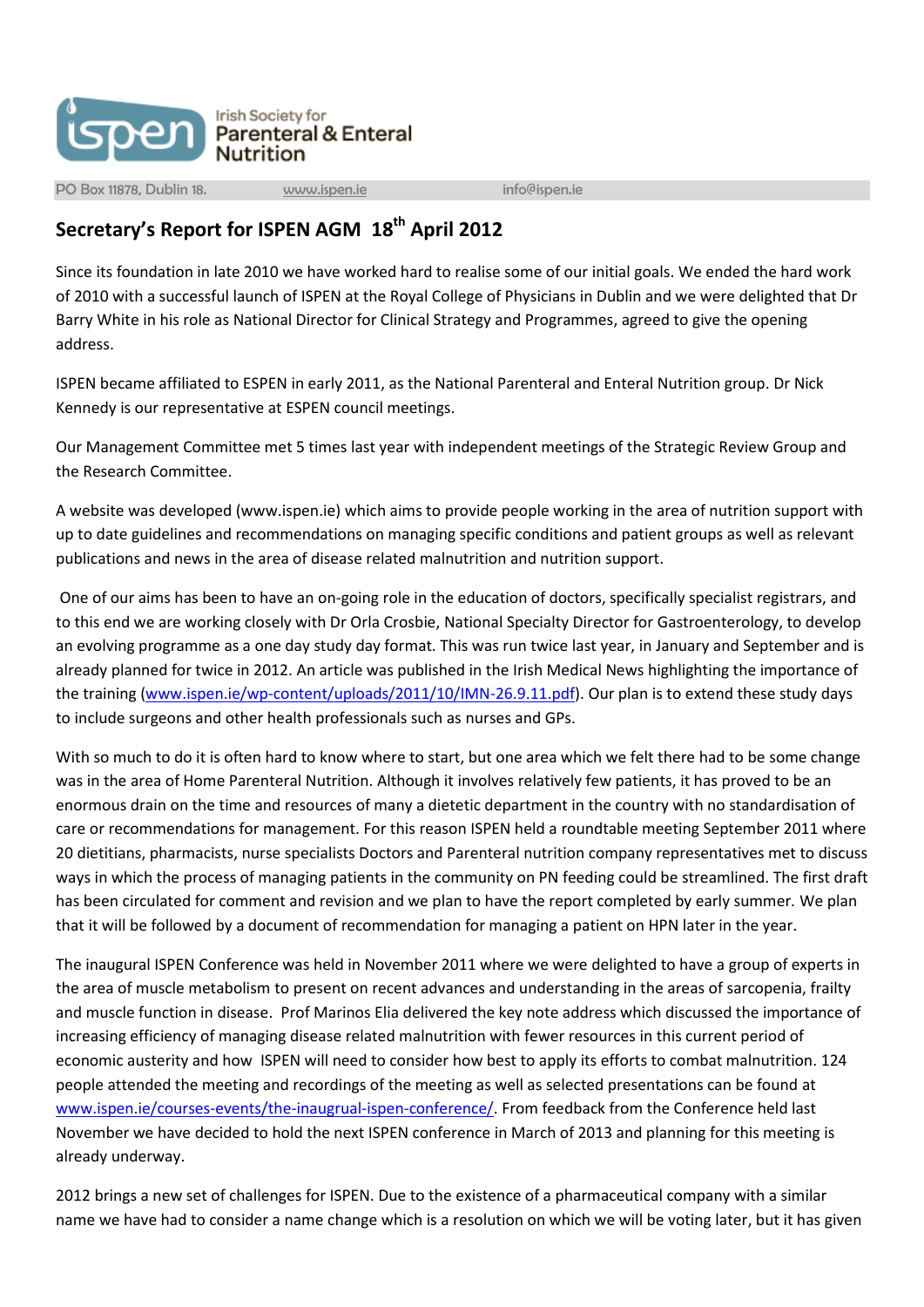

PO Box 11878, Dublin 18. [www.ispen.ie](http://www.ispen.ie/) info@ispen.ie

## **Secretary's Report for ISPEN AGM 18th April 2012**

Since its foundation in late 2010 we have worked hard to realise some of our initial goals. We ended the hard work of 2010 with a successful launch of ISPEN at the Royal College of Physicians in Dublin and we were delighted that Dr Barry White in his role as National Director for Clinical Strategy and Programmes, agreed to give the opening address.

ISPEN became affiliated to ESPEN in early 2011, as the National Parenteral and Enteral Nutrition group. Dr Nick Kennedy is our representative at ESPEN council meetings.

Our Management Committee met 5 times last year with independent meetings of the Strategic Review Group and the Research Committee.

A website was developed (www.ispen.ie) which aims to provide people working in the area of nutrition support with up to date guidelines and recommendations on managing specific conditions and patient groups as well as relevant publications and news in the area of disease related malnutrition and nutrition support.

One of our aims has been to have an on-going role in the education of doctors, specifically specialist registrars, and to this end we are working closely with Dr Orla Crosbie, National Specialty Director for Gastroenterology, to develop an evolving programme as a one day study day format. This was run twice last year, in January and September and is already planned for twice in 2012. An article was published in the Irish Medical News highlighting the importance of the training [\(www.ispen.ie/wp-content/uploads/2011/10/IMN-26.9.11.pdf\)](http://www.ispen.ie/wp-content/uploads/2011/10/IMN-26.9.11.pdf). Our plan is to extend these study days to include surgeons and other health professionals such as nurses and GPs.

With so much to do it is often hard to know where to start, but one area which we felt there had to be some change was in the area of Home Parenteral Nutrition. Although it involves relatively few patients, it has proved to be an enormous drain on the time and resources of many a dietetic department in the country with no standardisation of care or recommendations for management. For this reason ISPEN held a roundtable meeting September 2011 where 20 dietitians, pharmacists, nurse specialists Doctors and Parenteral nutrition company representatives met to discuss ways in which the process of managing patients in the community on PN feeding could be streamlined. The first draft has been circulated for comment and revision and we plan to have the report completed by early summer. We plan that it will be followed by a document of recommendation for managing a patient on HPN later in the year.

The inaugural ISPEN Conference was held in November 2011 where we were delighted to have a group of experts in the area of muscle metabolism to present on recent advances and understanding in the areas of sarcopenia, frailty and muscle function in disease. Prof Marinos Elia delivered the key note address which discussed the importance of increasing efficiency of managing disease related malnutrition with fewer resources in this current period of economic austerity and how ISPEN will need to consider how best to apply its efforts to combat malnutrition. 124 people attended the meeting and recordings of the meeting as well as selected presentations can be found at [www.ispen.ie/courses-events/the-inaugrual-ispen-conference/.](http://www.ispen.ie/courses-events/the-inaugrual-ispen-conference/) From feedback from the Conference held last November we have decided to hold the next ISPEN conference in March of 2013 and planning for this meeting is already underway.

2012 brings a new set of challenges for ISPEN. Due to the existence of a pharmaceutical company with a similar name we have had to consider a name change which is a resolution on which we will be voting later, but it has given